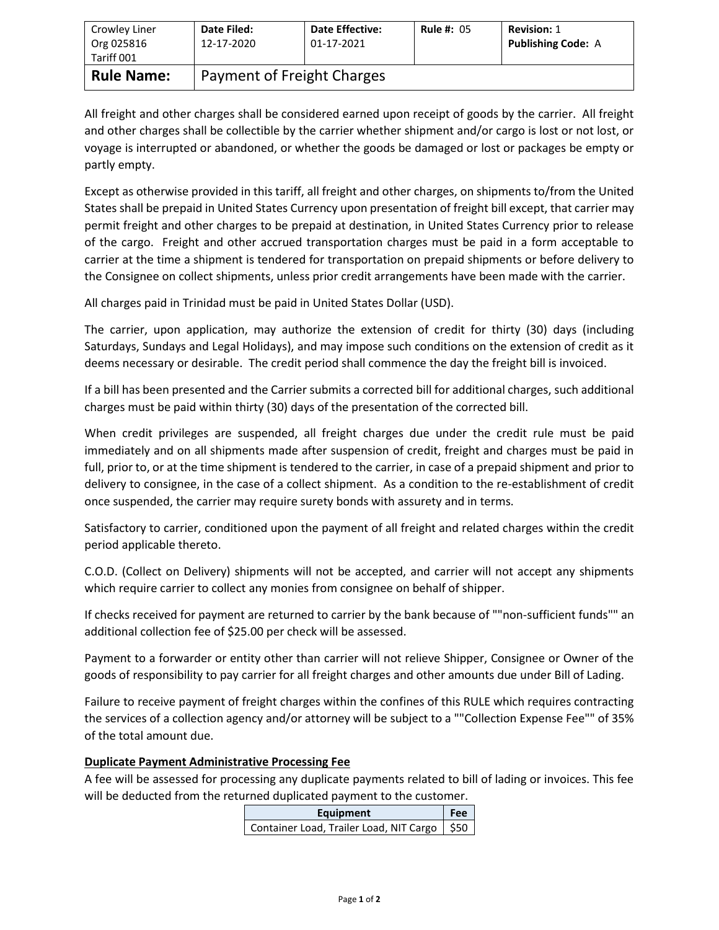| Crowley Liner<br>Org 025816<br>Tariff 001 | <b>Date Filed:</b><br>12-17-2020 | <b>Date Effective:</b><br>01-17-2021 | <b>Rule #: 05</b> | <b>Revision: 1</b><br><b>Publishing Code: A</b> |  |
|-------------------------------------------|----------------------------------|--------------------------------------|-------------------|-------------------------------------------------|--|
| <b>Rule Name:</b>                         | Payment of Freight Charges       |                                      |                   |                                                 |  |

All freight and other charges shall be considered earned upon receipt of goods by the carrier. All freight and other charges shall be collectible by the carrier whether shipment and/or cargo is lost or not lost, or voyage is interrupted or abandoned, or whether the goods be damaged or lost or packages be empty or partly empty.

Except as otherwise provided in this tariff, all freight and other charges, on shipments to/from the United States shall be prepaid in United States Currency upon presentation of freight bill except, that carrier may permit freight and other charges to be prepaid at destination, in United States Currency prior to release of the cargo. Freight and other accrued transportation charges must be paid in a form acceptable to carrier at the time a shipment is tendered for transportation on prepaid shipments or before delivery to the Consignee on collect shipments, unless prior credit arrangements have been made with the carrier.

All charges paid in Trinidad must be paid in United States Dollar (USD).

The carrier, upon application, may authorize the extension of credit for thirty (30) days (including Saturdays, Sundays and Legal Holidays), and may impose such conditions on the extension of credit as it deems necessary or desirable. The credit period shall commence the day the freight bill is invoiced.

If a bill has been presented and the Carrier submits a corrected bill for additional charges, such additional charges must be paid within thirty (30) days of the presentation of the corrected bill.

When credit privileges are suspended, all freight charges due under the credit rule must be paid immediately and on all shipments made after suspension of credit, freight and charges must be paid in full, prior to, or at the time shipment is tendered to the carrier, in case of a prepaid shipment and prior to delivery to consignee, in the case of a collect shipment. As a condition to the re-establishment of credit once suspended, the carrier may require surety bonds with assurety and in terms.

Satisfactory to carrier, conditioned upon the payment of all freight and related charges within the credit period applicable thereto.

C.O.D. (Collect on Delivery) shipments will not be accepted, and carrier will not accept any shipments which require carrier to collect any monies from consignee on behalf of shipper.

If checks received for payment are returned to carrier by the bank because of ""non-sufficient funds"" an additional collection fee of \$25.00 per check will be assessed.

Payment to a forwarder or entity other than carrier will not relieve Shipper, Consignee or Owner of the goods of responsibility to pay carrier for all freight charges and other amounts due under Bill of Lading.

Failure to receive payment of freight charges within the confines of this RULE which requires contracting the services of a collection agency and/or attorney will be subject to a ""Collection Expense Fee"" of 35% of the total amount due.

## **Duplicate Payment Administrative Processing Fee**

A fee will be assessed for processing any duplicate payments related to bill of lading or invoices. This fee will be deducted from the returned duplicated payment to the customer.

| Fee<br>Equipment                               |  |  |
|------------------------------------------------|--|--|
| Container Load, Trailer Load, NIT Cargo   \$50 |  |  |